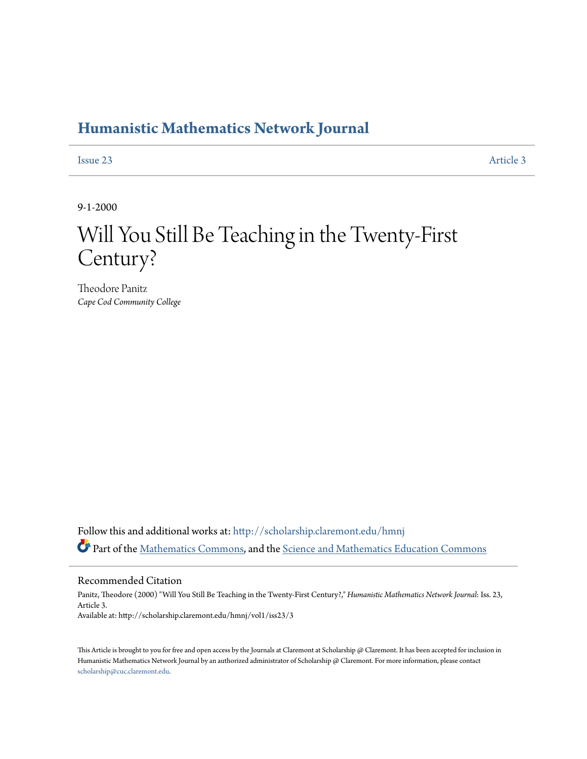### **[Humanistic Mathematics Network Journal](http://scholarship.claremont.edu/hmnj?utm_source=scholarship.claremont.edu%2Fhmnj%2Fvol1%2Fiss23%2F3&utm_medium=PDF&utm_campaign=PDFCoverPages)**

[Issue 23](http://scholarship.claremont.edu/hmnj/vol1/iss23?utm_source=scholarship.claremont.edu%2Fhmnj%2Fvol1%2Fiss23%2F3&utm_medium=PDF&utm_campaign=PDFCoverPages) [Article 3](http://scholarship.claremont.edu/hmnj/vol1/iss23/3?utm_source=scholarship.claremont.edu%2Fhmnj%2Fvol1%2Fiss23%2F3&utm_medium=PDF&utm_campaign=PDFCoverPages)

9-1-2000

# Will You Still Be Teaching in the Twenty-First Century?

Theodore Panitz *Cape Cod Community College*

Follow this and additional works at: [http://scholarship.claremont.edu/hmnj](http://scholarship.claremont.edu/hmnj?utm_source=scholarship.claremont.edu%2Fhmnj%2Fvol1%2Fiss23%2F3&utm_medium=PDF&utm_campaign=PDFCoverPages) Part of the [Mathematics Commons](http://network.bepress.com/hgg/discipline/174?utm_source=scholarship.claremont.edu%2Fhmnj%2Fvol1%2Fiss23%2F3&utm_medium=PDF&utm_campaign=PDFCoverPages), and the [Science and Mathematics Education Commons](http://network.bepress.com/hgg/discipline/800?utm_source=scholarship.claremont.edu%2Fhmnj%2Fvol1%2Fiss23%2F3&utm_medium=PDF&utm_campaign=PDFCoverPages)

Recommended Citation

Panitz, Theodore (2000) "Will You Still Be Teaching in the Twenty-First Century?," *Humanistic Mathematics Network Journal*: Iss. 23, Article 3. Available at: http://scholarship.claremont.edu/hmnj/vol1/iss23/3

This Article is brought to you for free and open access by the Journals at Claremont at Scholarship @ Claremont. It has been accepted for inclusion in Humanistic Mathematics Network Journal by an authorized administrator of Scholarship @ Claremont. For more information, please contact [scholarship@cuc.claremont.edu.](mailto:scholarship@cuc.claremont.edu)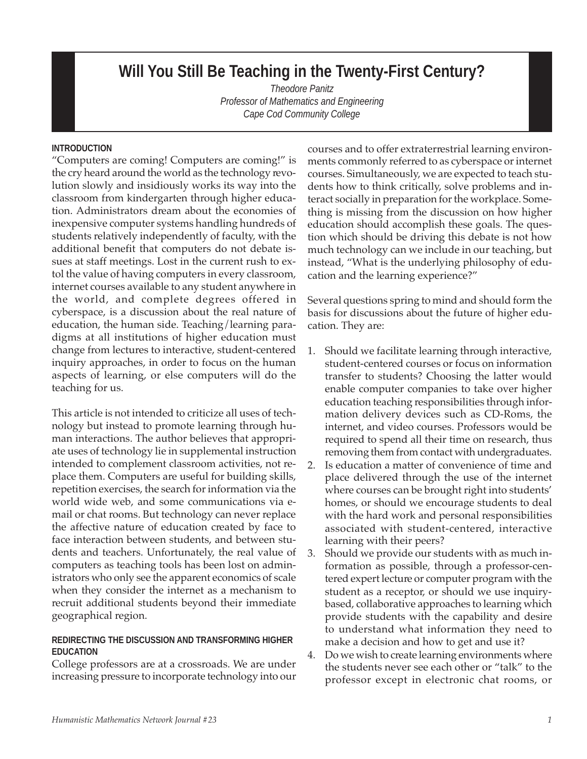## **Will You Still Be Teaching in the Twenty-First Century?**

*Theodore Panitz Professor of Mathematics and Engineering Cape Cod Community College*

#### **INTRODUCTION**

"Computers are coming! Computers are coming!" is the cry heard around the world as the technology revolution slowly and insidiously works its way into the classroom from kindergarten through higher education. Administrators dream about the economies of inexpensive computer systems handling hundreds of students relatively independently of faculty, with the additional benefit that computers do not debate issues at staff meetings. Lost in the current rush to extol the value of having computers in every classroom, internet courses available to any student anywhere in the world, and complete degrees offered in cyberspace, is a discussion about the real nature of education, the human side. Teaching/learning paradigms at all institutions of higher education must change from lectures to interactive, student-centered inquiry approaches, in order to focus on the human aspects of learning, or else computers will do the teaching for us.

This article is not intended to criticize all uses of technology but instead to promote learning through human interactions. The author believes that appropriate uses of technology lie in supplemental instruction intended to complement classroom activities, not replace them. Computers are useful for building skills, repetition exercises, the search for information via the world wide web, and some communications via email or chat rooms. But technology can never replace the affective nature of education created by face to face interaction between students, and between students and teachers. Unfortunately, the real value of computers as teaching tools has been lost on administrators who only see the apparent economics of scale when they consider the internet as a mechanism to recruit additional students beyond their immediate geographical region.

#### **REDIRECTING THE DISCUSSION AND TRANSFORMING HIGHER EDUCATION**

College professors are at a crossroads. We are under increasing pressure to incorporate technology into our courses and to offer extraterrestrial learning environments commonly referred to as cyberspace or internet courses. Simultaneously, we are expected to teach students how to think critically, solve problems and interact socially in preparation for the workplace. Something is missing from the discussion on how higher education should accomplish these goals. The question which should be driving this debate is not how much technology can we include in our teaching, but instead, "What is the underlying philosophy of education and the learning experience?"

Several questions spring to mind and should form the basis for discussions about the future of higher education. They are:

- 1. Should we facilitate learning through interactive, student-centered courses or focus on information transfer to students? Choosing the latter would enable computer companies to take over higher education teaching responsibilities through information delivery devices such as CD-Roms, the internet, and video courses. Professors would be required to spend all their time on research, thus removing them from contact with undergraduates.
- 2. Is education a matter of convenience of time and place delivered through the use of the internet where courses can be brought right into students' homes, or should we encourage students to deal with the hard work and personal responsibilities associated with student-centered, interactive learning with their peers?
- 3. Should we provide our students with as much information as possible, through a professor-centered expert lecture or computer program with the student as a receptor, or should we use inquirybased, collaborative approaches to learning which provide students with the capability and desire to understand what information they need to make a decision and how to get and use it?
- 4. Do we wish to create learning environments where the students never see each other or "talk" to the professor except in electronic chat rooms, or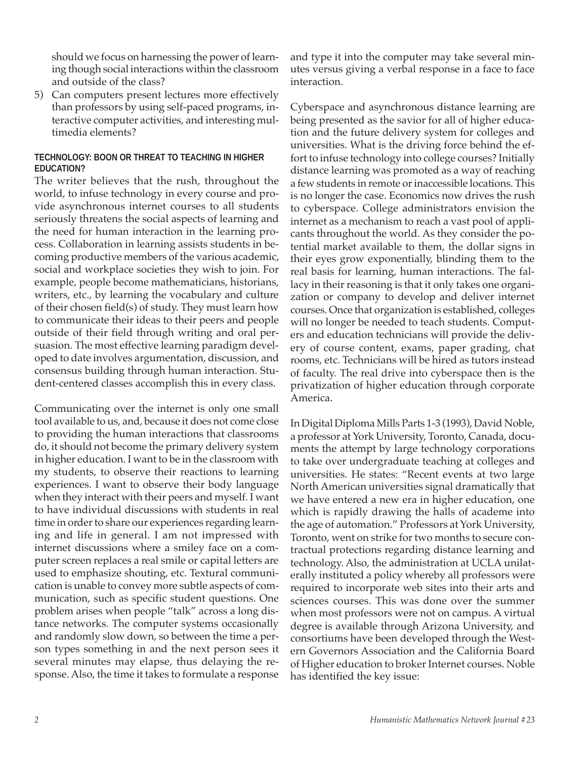should we focus on harnessing the power of learning though social interactions within the classroom and outside of the class?

5) Can computers present lectures more effectively than professors by using self-paced programs, interactive computer activities, and interesting multimedia elements?

#### **TECHNOLOGY: BOON OR THREAT TO TEACHING IN HIGHER EDUCATION?**

The writer believes that the rush, throughout the world, to infuse technology in every course and provide asynchronous internet courses to all students seriously threatens the social aspects of learning and the need for human interaction in the learning process. Collaboration in learning assists students in becoming productive members of the various academic, social and workplace societies they wish to join. For example, people become mathematicians, historians, writers, etc., by learning the vocabulary and culture of their chosen field(s) of study. They must learn how to communicate their ideas to their peers and people outside of their field through writing and oral persuasion. The most effective learning paradigm developed to date involves argumentation, discussion, and consensus building through human interaction. Student-centered classes accomplish this in every class.

Communicating over the internet is only one small tool available to us, and, because it does not come close to providing the human interactions that classrooms do, it should not become the primary delivery system in higher education. I want to be in the classroom with my students, to observe their reactions to learning experiences. I want to observe their body language when they interact with their peers and myself. I want to have individual discussions with students in real time in order to share our experiences regarding learning and life in general. I am not impressed with internet discussions where a smiley face on a computer screen replaces a real smile or capital letters are used to emphasize shouting, etc. Textural communication is unable to convey more subtle aspects of communication, such as specific student questions. One problem arises when people "talk" across a long distance networks. The computer systems occasionally and randomly slow down, so between the time a person types something in and the next person sees it several minutes may elapse, thus delaying the response. Also, the time it takes to formulate a response

and type it into the computer may take several minutes versus giving a verbal response in a face to face interaction.

Cyberspace and asynchronous distance learning are being presented as the savior for all of higher education and the future delivery system for colleges and universities. What is the driving force behind the effort to infuse technology into college courses? Initially distance learning was promoted as a way of reaching a few students in remote or inaccessible locations. This is no longer the case. Economics now drives the rush to cyberspace. College administrators envision the internet as a mechanism to reach a vast pool of applicants throughout the world. As they consider the potential market available to them, the dollar signs in their eyes grow exponentially, blinding them to the real basis for learning, human interactions. The fallacy in their reasoning is that it only takes one organization or company to develop and deliver internet courses. Once that organization is established, colleges will no longer be needed to teach students. Computers and education technicians will provide the delivery of course content, exams, paper grading, chat rooms, etc. Technicians will be hired as tutors instead of faculty. The real drive into cyberspace then is the privatization of higher education through corporate America.

In Digital Diploma Mills Parts 1-3 (1993), David Noble, a professor at York University, Toronto, Canada, documents the attempt by large technology corporations to take over undergraduate teaching at colleges and universities. He states: "Recent events at two large North American universities signal dramatically that we have entered a new era in higher education, one which is rapidly drawing the halls of academe into the age of automation." Professors at York University, Toronto, went on strike for two months to secure contractual protections regarding distance learning and technology. Also, the administration at UCLA unilaterally instituted a policy whereby all professors were required to incorporate web sites into their arts and sciences courses. This was done over the summer when most professors were not on campus. A virtual degree is available through Arizona University, and consortiums have been developed through the Western Governors Association and the California Board of Higher education to broker Internet courses. Noble has identified the key issue: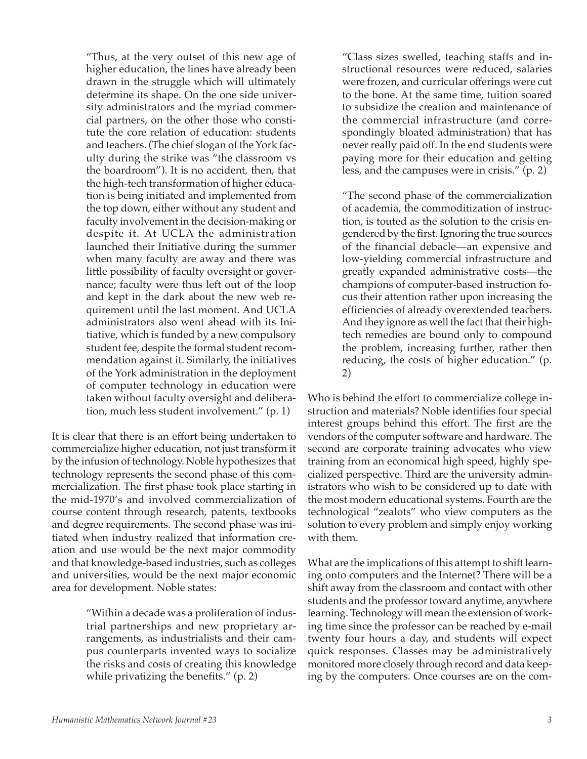"Thus, at the very outset of this new age of higher education, the lines have already been drawn in the struggle which will ultimately determine its shape. On the one side university administrators and the myriad commercial partners, on the other those who constitute the core relation of education: students and teachers. (The chief slogan of the York faculty during the strike was "the classroom vs the boardroom"). It is no accident, then, that the high-tech transformation of higher education is being initiated and implemented from the top down, either without any student and faculty involvement in the decision-making or despite it. At UCLA the administration launched their Initiative during the summer when many faculty are away and there was little possibility of faculty oversight or governance; faculty were thus left out of the loop and kept in the dark about the new web requirement until the last moment. And UCLA administrators also went ahead with its Initiative, which is funded by a new compulsory student fee, despite the formal student recommendation against it. Similarly, the initiatives of the York administration in the deployment of computer technology in education were taken without faculty oversight and deliberation, much less student involvement." (p. 1)

It is clear that there is an effort being undertaken to commercialize higher education, not just transform it by the infusion of technology. Noble hypothesizes that technology represents the second phase of this commercialization. The first phase took place starting in the mid-1970's and involved commercialization of course content through research, patents, textbooks and degree requirements. The second phase was initiated when industry realized that information creation and use would be the next major commodity and that knowledge-based industries, such as colleges and universities, would be the next major economic area for development. Noble states:

> "Within a decade was a proliferation of industrial partnerships and new proprietary arrangements, as industrialists and their campus counterparts invented ways to socialize the risks and costs of creating this knowledge while privatizing the benefits." (p. 2)

"Class sizes swelled, teaching staffs and instructional resources were reduced, salaries were frozen, and curricular offerings were cut to the bone. At the same time, tuition soared to subsidize the creation and maintenance of the commercial infrastructure (and correspondingly bloated administration) that has never really paid off. In the end students were paying more for their education and getting less, and the campuses were in crisis." (p. 2)

"The second phase of the commercialization of academia, the commoditization of instruction, is touted as the solution to the crisis engendered by the first. Ignoring the true sources of the financial debacle—an expensive and low-yielding commercial infrastructure and greatly expanded administrative costs—the champions of computer-based instruction focus their attention rather upon increasing the efficiencies of already overextended teachers. And they ignore as well the fact that their hightech remedies are bound only to compound the problem, increasing further, rather then reducing, the costs of higher education." (p. 2)

Who is behind the effort to commercialize college instruction and materials? Noble identifies four special interest groups behind this effort. The first are the vendors of the computer software and hardware. The second are corporate training advocates who view training from an economical high speed, highly specialized perspective. Third are the university administrators who wish to be considered up to date with the most modern educational systems. Fourth are the technological "zealots" who view computers as the solution to every problem and simply enjoy working with them.

What are the implications of this attempt to shift learning onto computers and the Internet? There will be a shift away from the classroom and contact with other students and the professor toward anytime, anywhere learning. Technology will mean the extension of working time since the professor can be reached by e-mail twenty four hours a day, and students will expect quick responses. Classes may be administratively monitored more closely through record and data keeping by the computers. Once courses are on the com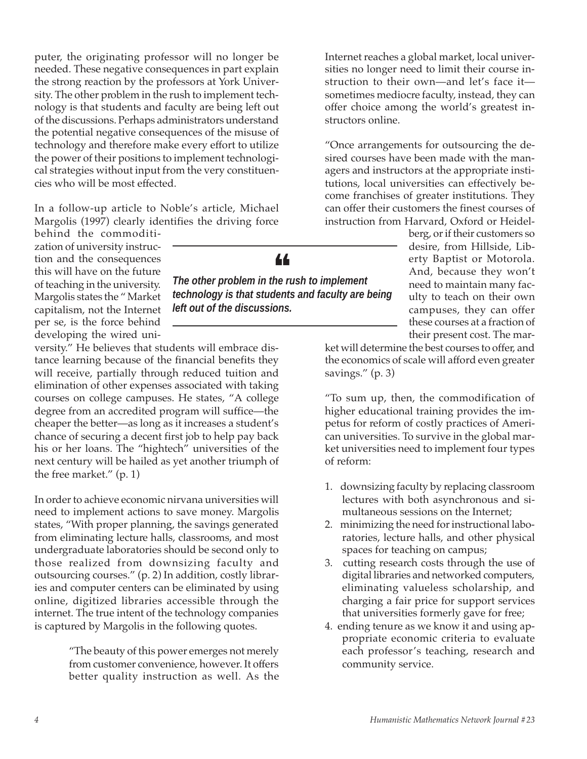puter, the originating professor will no longer be needed. These negative consequences in part explain the strong reaction by the professors at York University. The other problem in the rush to implement technology is that students and faculty are being left out of the discussions. Perhaps administrators understand the potential negative consequences of the misuse of technology and therefore make every effort to utilize the power of their positions to implement technological strategies without input from the very constituencies who will be most effected.

In a follow-up article to Noble's article, Michael Margolis (1997) clearly identifies the driving force

behind the commoditization of university instruction and the consequences this will have on the future of teaching in the university. Margolis states the " Market capitalism, not the Internet per se, is the force behind developing the wired uni-

versity." He believes that students will embrace distance learning because of the financial benefits they will receive, partially through reduced tuition and elimination of other expenses associated with taking courses on college campuses. He states, "A college degree from an accredited program will suffice—the cheaper the better—as long as it increases a student's chance of securing a decent first job to help pay back his or her loans. The "hightech" universities of the next century will be hailed as yet another triumph of the free market." (p. 1)

In order to achieve economic nirvana universities will need to implement actions to save money. Margolis states, "With proper planning, the savings generated from eliminating lecture halls, classrooms, and most undergraduate laboratories should be second only to those realized from downsizing faculty and outsourcing courses." (p. 2) In addition, costly libraries and computer centers can be eliminated by using online, digitized libraries accessible through the internet. The true intent of the technology companies is captured by Margolis in the following quotes.

> "The beauty of this power emerges not merely from customer convenience, however. It offers better quality instruction as well. As the

Internet reaches a global market, local universities no longer need to limit their course instruction to their own—and let's face it sometimes mediocre faculty, instead, they can offer choice among the world's greatest instructors online.

"Once arrangements for outsourcing the desired courses have been made with the managers and instructors at the appropriate institutions, local universities can effectively become franchises of greater institutions. They can offer their customers the finest courses of instruction from Harvard, Oxford or Heidel-

> berg, or if their customers so desire, from Hillside, Liberty Baptist or Motorola. And, because they won't need to maintain many faculty to teach on their own campuses, they can offer these courses at a fraction of their present cost. The mar-

ket will determine the best courses to offer, and the economics of scale will afford even greater savings." (p. 3)

"To sum up, then, the commodification of higher educational training provides the impetus for reform of costly practices of American universities. To survive in the global market universities need to implement four types of reform:

- 1. downsizing faculty by replacing classroom lectures with both asynchronous and simultaneous sessions on the Internet;
- 2. minimizing the need for instructional laboratories, lecture halls, and other physical spaces for teaching on campus;
- 3. cutting research costs through the use of digital libraries and networked computers, eliminating valueless scholarship, and charging a fair price for support services that universities formerly gave for free;
- 4. ending tenure as we know it and using appropriate economic criteria to evaluate each professor's teaching, research and community service.



The other problem in the rush to implement *technology is that students and faculty are being left out of the discussions.*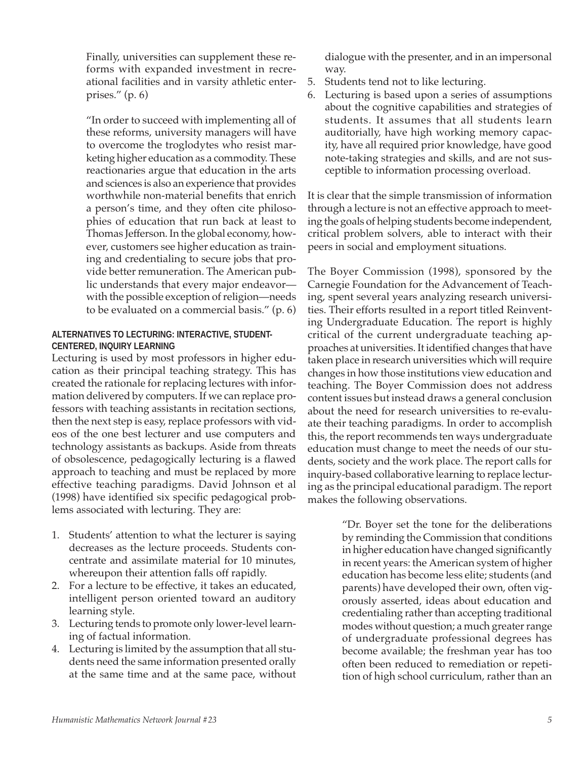Finally, universities can supplement these reforms with expanded investment in recreational facilities and in varsity athletic enterprises." (p. 6)

"In order to succeed with implementing all of these reforms, university managers will have to overcome the troglodytes who resist marketing higher education as a commodity. These reactionaries argue that education in the arts and sciences is also an experience that provides worthwhile non-material benefits that enrich a person's time, and they often cite philosophies of education that run back at least to Thomas Jefferson. In the global economy, however, customers see higher education as training and credentialing to secure jobs that provide better remuneration. The American public understands that every major endeavor with the possible exception of religion—needs to be evaluated on a commercial basis." (p. 6)

#### **ALTERNATIVES TO LECTURING: INTERACTIVE, STUDENT-CENTERED, INQUIRY LEARNING**

Lecturing is used by most professors in higher education as their principal teaching strategy. This has created the rationale for replacing lectures with information delivered by computers. If we can replace professors with teaching assistants in recitation sections, then the next step is easy, replace professors with videos of the one best lecturer and use computers and technology assistants as backups. Aside from threats of obsolescence, pedagogically lecturing is a flawed approach to teaching and must be replaced by more effective teaching paradigms. David Johnson et al (1998) have identified six specific pedagogical problems associated with lecturing. They are:

- 1. Students' attention to what the lecturer is saying decreases as the lecture proceeds. Students concentrate and assimilate material for 10 minutes, whereupon their attention falls off rapidly.
- 2. For a lecture to be effective, it takes an educated, intelligent person oriented toward an auditory learning style.
- 3. Lecturing tends to promote only lower-level learning of factual information.
- 4. Lecturing is limited by the assumption that all students need the same information presented orally at the same time and at the same pace, without

dialogue with the presenter, and in an impersonal way.

- 5. Students tend not to like lecturing.
- 6. Lecturing is based upon a series of assumptions about the cognitive capabilities and strategies of students. It assumes that all students learn auditorially, have high working memory capacity, have all required prior knowledge, have good note-taking strategies and skills, and are not susceptible to information processing overload.

It is clear that the simple transmission of information through a lecture is not an effective approach to meeting the goals of helping students become independent, critical problem solvers, able to interact with their peers in social and employment situations.

The Boyer Commission (1998), sponsored by the Carnegie Foundation for the Advancement of Teaching, spent several years analyzing research universities. Their efforts resulted in a report titled Reinventing Undergraduate Education. The report is highly critical of the current undergraduate teaching approaches at universities. It identified changes that have taken place in research universities which will require changes in how those institutions view education and teaching. The Boyer Commission does not address content issues but instead draws a general conclusion about the need for research universities to re-evaluate their teaching paradigms. In order to accomplish this, the report recommends ten ways undergraduate education must change to meet the needs of our students, society and the work place. The report calls for inquiry-based collaborative learning to replace lecturing as the principal educational paradigm. The report makes the following observations.

> "Dr. Boyer set the tone for the deliberations by reminding the Commission that conditions in higher education have changed significantly in recent years: the American system of higher education has become less elite; students (and parents) have developed their own, often vigorously asserted, ideas about education and credentialing rather than accepting traditional modes without question; a much greater range of undergraduate professional degrees has become available; the freshman year has too often been reduced to remediation or repetition of high school curriculum, rather than an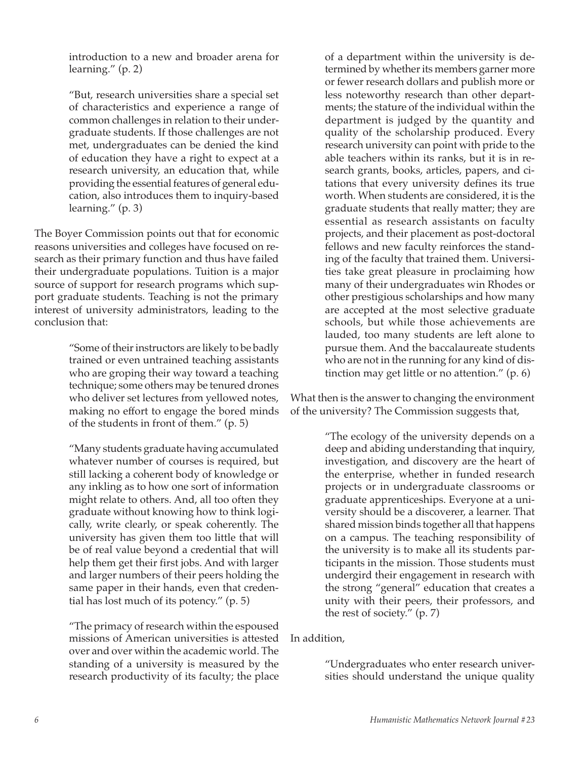introduction to a new and broader arena for learning." (p. 2)

"But, research universities share a special set of characteristics and experience a range of common challenges in relation to their undergraduate students. If those challenges are not met, undergraduates can be denied the kind of education they have a right to expect at a research university, an education that, while providing the essential features of general education, also introduces them to inquiry-based learning." (p. 3)

The Boyer Commission points out that for economic reasons universities and colleges have focused on research as their primary function and thus have failed their undergraduate populations. Tuition is a major source of support for research programs which support graduate students. Teaching is not the primary interest of university administrators, leading to the conclusion that:

> "Some of their instructors are likely to be badly trained or even untrained teaching assistants who are groping their way toward a teaching technique; some others may be tenured drones who deliver set lectures from yellowed notes, making no effort to engage the bored minds of the students in front of them." (p. 5)

> "Many students graduate having accumulated whatever number of courses is required, but still lacking a coherent body of knowledge or any inkling as to how one sort of information might relate to others. And, all too often they graduate without knowing how to think logically, write clearly, or speak coherently. The university has given them too little that will be of real value beyond a credential that will help them get their first jobs. And with larger and larger numbers of their peers holding the same paper in their hands, even that credential has lost much of its potency." (p. 5)

> "The primacy of research within the espoused missions of American universities is attested over and over within the academic world. The standing of a university is measured by the research productivity of its faculty; the place

of a department within the university is determined by whether its members garner more or fewer research dollars and publish more or less noteworthy research than other departments; the stature of the individual within the department is judged by the quantity and quality of the scholarship produced. Every research university can point with pride to the able teachers within its ranks, but it is in research grants, books, articles, papers, and citations that every university defines its true worth. When students are considered, it is the graduate students that really matter; they are essential as research assistants on faculty projects, and their placement as post-doctoral fellows and new faculty reinforces the standing of the faculty that trained them. Universities take great pleasure in proclaiming how many of their undergraduates win Rhodes or other prestigious scholarships and how many are accepted at the most selective graduate schools, but while those achievements are lauded, too many students are left alone to pursue them. And the baccalaureate students who are not in the running for any kind of distinction may get little or no attention." (p. 6)

What then is the answer to changing the environment of the university? The Commission suggests that,

> "The ecology of the university depends on a deep and abiding understanding that inquiry, investigation, and discovery are the heart of the enterprise, whether in funded research projects or in undergraduate classrooms or graduate apprenticeships. Everyone at a university should be a discoverer, a learner. That shared mission binds together all that happens on a campus. The teaching responsibility of the university is to make all its students participants in the mission. Those students must undergird their engagement in research with the strong "general" education that creates a unity with their peers, their professors, and the rest of society." (p. 7)

In addition,

"Undergraduates who enter research universities should understand the unique quality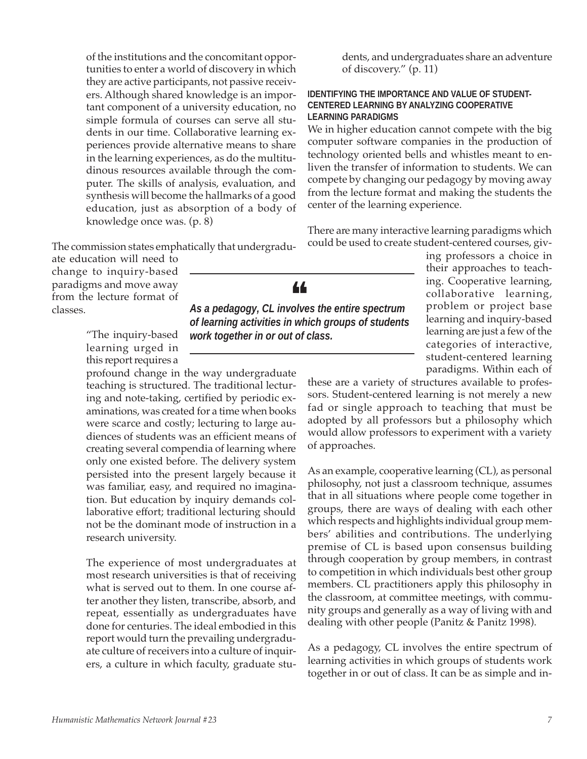of the institutions and the concomitant opportunities to enter a world of discovery in which they are active participants, not passive receivers. Although shared knowledge is an important component of a university education, no simple formula of courses can serve all students in our time. Collaborative learning experiences provide alternative means to share in the learning experiences, as do the multitudinous resources available through the computer. The skills of analysis, evaluation, and synthesis will become the hallmarks of a good education, just as absorption of a body of knowledge once was. (p. 8)

The commission states emphatically that undergradu-

ate education will need to change to inquiry-based paradigms and move away from the lecture format of classes.

> "The inquiry-based learning urged in this report requires a

profound change in the way undergraduate teaching is structured. The traditional lecturing and note-taking, certified by periodic examinations, was created for a time when books were scarce and costly; lecturing to large audiences of students was an efficient means of creating several compendia of learning where only one existed before. The delivery system persisted into the present largely because it was familiar, easy, and required no imagination. But education by inquiry demands collaborative effort; traditional lecturing should not be the dominant mode of instruction in a research university.

The experience of most undergraduates at most research universities is that of receiving what is served out to them. In one course after another they listen, transcribe, absorb, and repeat, essentially as undergraduates have done for centuries. The ideal embodied in this report would turn the prevailing undergraduate culture of receivers into a culture of inquirers, a culture in which faculty, graduate students, and undergraduates share an adventure of discovery." (p. 11)

#### **IDENTIFYING THE IMPORTANCE AND VALUE OF STUDENT-CENTERED LEARNING BY ANALYZING COOPERATIVE LEARNING PARADIGMS**

We in higher education cannot compete with the big computer software companies in the production of technology oriented bells and whistles meant to enliven the transfer of information to students. We can compete by changing our pedagogy by moving away from the lecture format and making the students the center of the learning experience.

There are many interactive learning paradigms which could be used to create student-centered courses, giv-

> ing professors a choice in their approaches to teaching. Cooperative learning, collaborative learning, problem or project base learning and inquiry-based learning are just a few of the categories of interactive, student-centered learning paradigms. Within each of

these are a variety of structures available to professors. Student-centered learning is not merely a new fad or single approach to teaching that must be adopted by all professors but a philosophy which would allow professors to experiment with a variety of approaches.

As an example, cooperative learning (CL), as personal philosophy, not just a classroom technique, assumes that in all situations where people come together in groups, there are ways of dealing with each other which respects and highlights individual group members' abilities and contributions. The underlying premise of CL is based upon consensus building through cooperation by group members, in contrast to competition in which individuals best other group members. CL practitioners apply this philosophy in the classroom, at committee meetings, with community groups and generally as a way of living with and dealing with other people (Panitz & Panitz 1998).

As a pedagogy, CL involves the entire spectrum of learning activities in which groups of students work together in or out of class. It can be as simple and in-

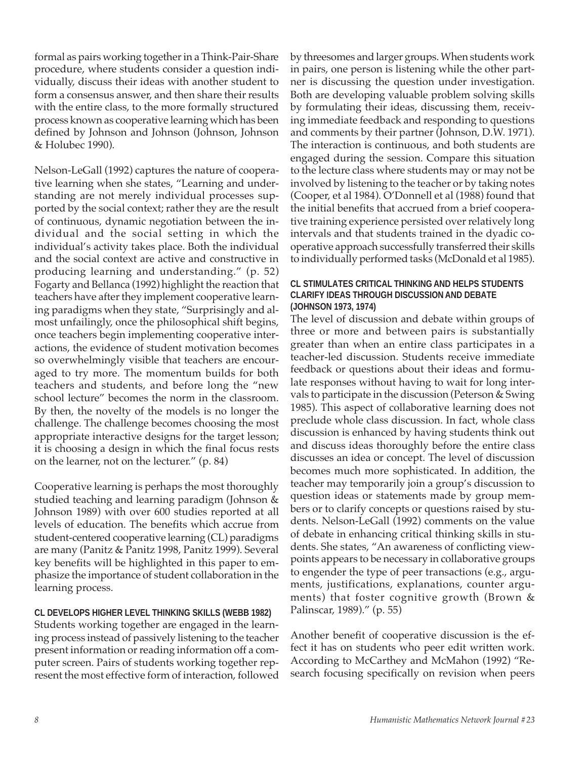formal as pairs working together in a Think-Pair-Share procedure, where students consider a question individually, discuss their ideas with another student to form a consensus answer, and then share their results with the entire class, to the more formally structured process known as cooperative learning which has been defined by Johnson and Johnson (Johnson, Johnson & Holubec 1990).

Nelson-LeGall (1992) captures the nature of cooperative learning when she states, "Learning and understanding are not merely individual processes supported by the social context; rather they are the result of continuous, dynamic negotiation between the individual and the social setting in which the individual's activity takes place. Both the individual and the social context are active and constructive in producing learning and understanding." (p. 52) Fogarty and Bellanca (1992) highlight the reaction that teachers have after they implement cooperative learning paradigms when they state, "Surprisingly and almost unfailingly, once the philosophical shift begins, once teachers begin implementing cooperative interactions, the evidence of student motivation becomes so overwhelmingly visible that teachers are encouraged to try more. The momentum builds for both teachers and students, and before long the "new school lecture" becomes the norm in the classroom. By then, the novelty of the models is no longer the challenge. The challenge becomes choosing the most appropriate interactive designs for the target lesson; it is choosing a design in which the final focus rests on the learner, not on the lecturer." (p. 84)

Cooperative learning is perhaps the most thoroughly studied teaching and learning paradigm (Johnson & Johnson 1989) with over 600 studies reported at all levels of education. The benefits which accrue from student-centered cooperative learning (CL) paradigms are many (Panitz & Panitz 1998, Panitz 1999). Several key benefits will be highlighted in this paper to emphasize the importance of student collaboration in the learning process.

#### **CL DEVELOPS HIGHER LEVEL THINKING SKILLS (WEBB 1982)**

Students working together are engaged in the learning process instead of passively listening to the teacher present information or reading information off a computer screen. Pairs of students working together represent the most effective form of interaction, followed

by threesomes and larger groups. When students work in pairs, one person is listening while the other partner is discussing the question under investigation. Both are developing valuable problem solving skills by formulating their ideas, discussing them, receiving immediate feedback and responding to questions and comments by their partner (Johnson, D.W. 1971). The interaction is continuous, and both students are engaged during the session. Compare this situation to the lecture class where students may or may not be involved by listening to the teacher or by taking notes (Cooper, et al 1984). O'Donnell et al (1988) found that the initial benefits that accrued from a brief cooperative training experience persisted over relatively long intervals and that students trained in the dyadic cooperative approach successfully transferred their skills to individually performed tasks (McDonald et al 1985).

#### **CL STIMULATES CRITICAL THINKING AND HELPS STUDENTS CLARIFY IDEAS THROUGH DISCUSSION AND DEBATE (JOHNSON 1973, 1974)**

The level of discussion and debate within groups of three or more and between pairs is substantially greater than when an entire class participates in a teacher-led discussion. Students receive immediate feedback or questions about their ideas and formulate responses without having to wait for long intervals to participate in the discussion (Peterson & Swing 1985). This aspect of collaborative learning does not preclude whole class discussion. In fact, whole class discussion is enhanced by having students think out and discuss ideas thoroughly before the entire class discusses an idea or concept. The level of discussion becomes much more sophisticated. In addition, the teacher may temporarily join a group's discussion to question ideas or statements made by group members or to clarify concepts or questions raised by students. Nelson-LeGall (1992) comments on the value of debate in enhancing critical thinking skills in students. She states, "An awareness of conflicting viewpoints appears to be necessary in collaborative groups to engender the type of peer transactions (e.g., arguments, justifications, explanations, counter arguments) that foster cognitive growth (Brown & Palinscar, 1989)." (p. 55)

Another benefit of cooperative discussion is the effect it has on students who peer edit written work. According to McCarthey and McMahon (1992) "Research focusing specifically on revision when peers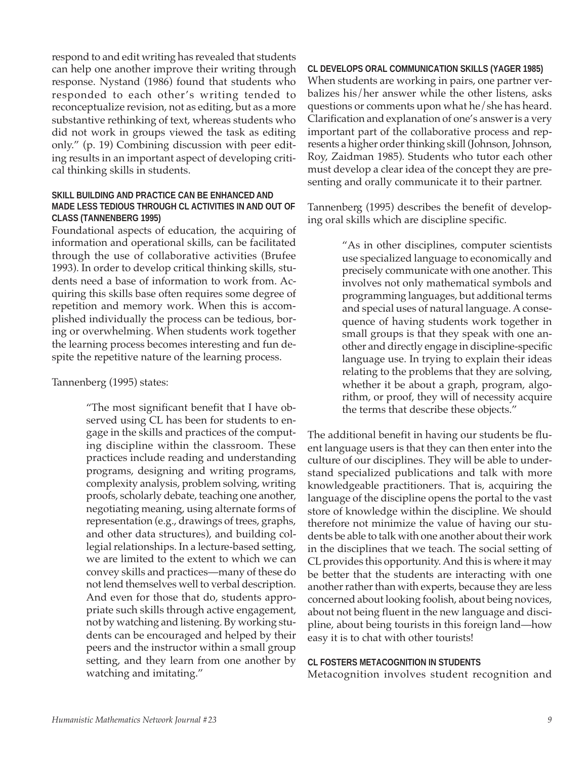respond to and edit writing has revealed that students can help one another improve their writing through response. Nystand (1986) found that students who responded to each other's writing tended to reconceptualize revision, not as editing, but as a more substantive rethinking of text, whereas students who did not work in groups viewed the task as editing only." (p. 19) Combining discussion with peer editing results in an important aspect of developing critical thinking skills in students.

#### **SKILL BUILDING AND PRACTICE CAN BE ENHANCED AND MADE LESS TEDIOUS THROUGH CL ACTIVITIES IN AND OUT OF CLASS (TANNENBERG 1995)**

Foundational aspects of education, the acquiring of information and operational skills, can be facilitated through the use of collaborative activities (Brufee 1993). In order to develop critical thinking skills, students need a base of information to work from. Acquiring this skills base often requires some degree of repetition and memory work. When this is accomplished individually the process can be tedious, boring or overwhelming. When students work together the learning process becomes interesting and fun despite the repetitive nature of the learning process.

#### Tannenberg (1995) states:

"The most significant benefit that I have observed using CL has been for students to engage in the skills and practices of the computing discipline within the classroom. These practices include reading and understanding programs, designing and writing programs, complexity analysis, problem solving, writing proofs, scholarly debate, teaching one another, negotiating meaning, using alternate forms of representation (e.g., drawings of trees, graphs, and other data structures), and building collegial relationships. In a lecture-based setting, we are limited to the extent to which we can convey skills and practices—many of these do not lend themselves well to verbal description. And even for those that do, students appropriate such skills through active engagement, not by watching and listening. By working students can be encouraged and helped by their peers and the instructor within a small group setting, and they learn from one another by watching and imitating."

#### **CL DEVELOPS ORAL COMMUNICATION SKILLS (YAGER 1985)**

When students are working in pairs, one partner verbalizes his/her answer while the other listens, asks questions or comments upon what he/she has heard. Clarification and explanation of one's answer is a very important part of the collaborative process and represents a higher order thinking skill (Johnson, Johnson, Roy, Zaidman 1985). Students who tutor each other must develop a clear idea of the concept they are presenting and orally communicate it to their partner.

Tannenberg (1995) describes the benefit of developing oral skills which are discipline specific.

> "As in other disciplines, computer scientists use specialized language to economically and precisely communicate with one another. This involves not only mathematical symbols and programming languages, but additional terms and special uses of natural language. A consequence of having students work together in small groups is that they speak with one another and directly engage in discipline-specific language use. In trying to explain their ideas relating to the problems that they are solving, whether it be about a graph, program, algorithm, or proof, they will of necessity acquire the terms that describe these objects."

The additional benefit in having our students be fluent language users is that they can then enter into the culture of our disciplines. They will be able to understand specialized publications and talk with more knowledgeable practitioners. That is, acquiring the language of the discipline opens the portal to the vast store of knowledge within the discipline. We should therefore not minimize the value of having our students be able to talk with one another about their work in the disciplines that we teach. The social setting of CL provides this opportunity. And this is where it may be better that the students are interacting with one another rather than with experts, because they are less concerned about looking foolish, about being novices, about not being fluent in the new language and discipline, about being tourists in this foreign land—how easy it is to chat with other tourists!

#### **CL FOSTERS METACOGNITION IN STUDENTS**

Metacognition involves student recognition and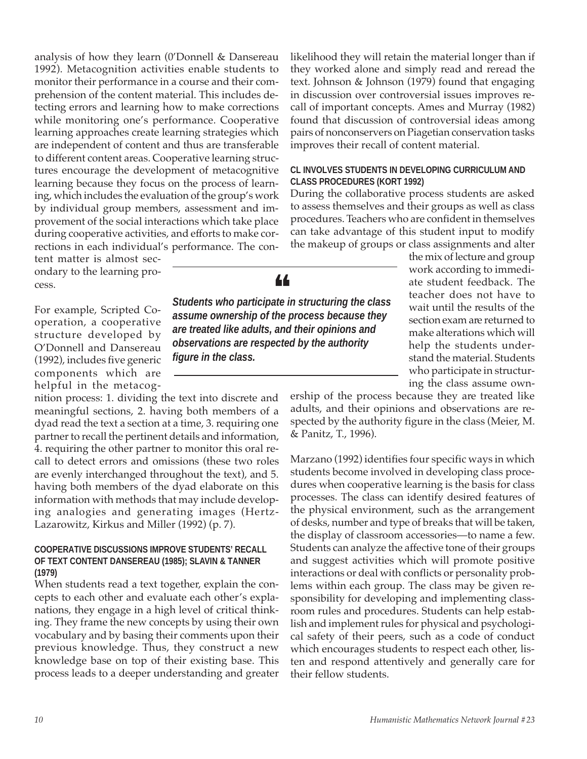analysis of how they learn (0'Donnell & Dansereau 1992). Metacognition activities enable students to monitor their performance in a course and their comprehension of the content material. This includes detecting errors and learning how to make corrections while monitoring one's performance. Cooperative learning approaches create learning strategies which are independent of content and thus are transferable to different content areas. Cooperative learning structures encourage the development of metacognitive learning because they focus on the process of learning, which includes the evaluation of the group's work by individual group members, assessment and improvement of the social interactions which take place during cooperative activities, and efforts to make corrections in each individual's performance. The con-

tent matter is almost secondary to the learning process.

For example, Scripted Cooperation, a cooperative structure developed by O'Donnell and Dansereau (1992), includes five generic components which are helpful in the metacog-

nition process: 1. dividing the text into discrete and meaningful sections, 2. having both members of a dyad read the text a section at a time, 3. requiring one partner to recall the pertinent details and information, 4. requiring the other partner to monitor this oral recall to detect errors and omissions (these two roles are evenly interchanged throughout the text), and 5. having both members of the dyad elaborate on this information with methods that may include developing analogies and generating images (Hertz-Lazarowitz, Kirkus and Miller (1992) (p. 7).

#### **COOPERATIVE DISCUSSIONS IMPROVE STUDENTS' RECALL OF TEXT CONTENT DANSEREAU (1985); SLAVIN & TANNER (1979)**

When students read a text together, explain the concepts to each other and evaluate each other's explanations, they engage in a high level of critical thinking. They frame the new concepts by using their own vocabulary and by basing their comments upon their previous knowledge. Thus, they construct a new knowledge base on top of their existing base. This process leads to a deeper understanding and greater likelihood they will retain the material longer than if they worked alone and simply read and reread the text. Johnson & Johnson (1979) found that engaging in discussion over controversial issues improves recall of important concepts. Ames and Murray (1982) found that discussion of controversial ideas among pairs of nonconservers on Piagetian conservation tasks improves their recall of content material.

#### **CL INVOLVES STUDENTS IN DEVELOPING CURRICULUM AND CLASS PROCEDURES (KORT 1992)**

During the collaborative process students are asked to assess themselves and their groups as well as class procedures. Teachers who are confident in themselves can take advantage of this student input to modify the makeup of groups or class assignments and alter

the mix of lecture and group work according to immediate student feedback. The teacher does not have to wait until the results of the section exam are returned to make alterations which will help the students understand the material. Students who participate in structuring the class assume own-

ership of the process because they are treated like adults, and their opinions and observations are respected by the authority figure in the class (Meier, M. & Panitz, T., 1996).

Marzano (1992) identifies four specific ways in which students become involved in developing class procedures when cooperative learning is the basis for class processes. The class can identify desired features of the physical environment, such as the arrangement of desks, number and type of breaks that will be taken, the display of classroom accessories—to name a few. Students can analyze the affective tone of their groups and suggest activities which will promote positive interactions or deal with conflicts or personality problems within each group. The class may be given responsibility for developing and implementing classroom rules and procedures. Students can help establish and implement rules for physical and psychological safety of their peers, such as a code of conduct which encourages students to respect each other, listen and respond attentively and generally care for their fellow students.



*Students who participate in structuring the class* ❝ *assume ownership of the process because they are treated like adults, and their opinions and*

*observations are respected by the authority*

*figure in the class.*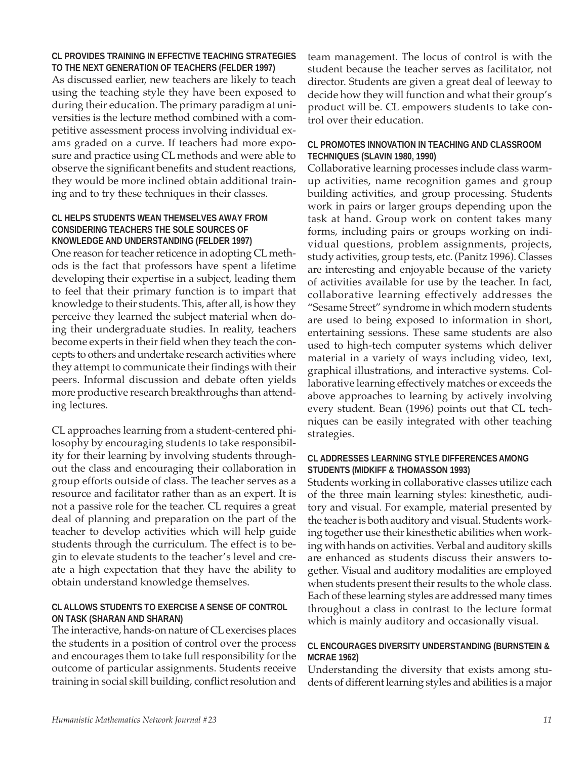#### **CL PROVIDES TRAINING IN EFFECTIVE TEACHING STRATEGIES TO THE NEXT GENERATION OF TEACHERS (FELDER 1997)**

As discussed earlier, new teachers are likely to teach using the teaching style they have been exposed to during their education. The primary paradigm at universities is the lecture method combined with a competitive assessment process involving individual exams graded on a curve. If teachers had more exposure and practice using CL methods and were able to observe the significant benefits and student reactions, they would be more inclined obtain additional training and to try these techniques in their classes.

#### **CL HELPS STUDENTS WEAN THEMSELVES AWAY FROM CONSIDERING TEACHERS THE SOLE SOURCES OF KNOWLEDGE AND UNDERSTANDING (FELDER 1997)**

One reason for teacher reticence in adopting CL methods is the fact that professors have spent a lifetime developing their expertise in a subject, leading them to feel that their primary function is to impart that knowledge to their students. This, after all, is how they perceive they learned the subject material when doing their undergraduate studies. In reality, teachers become experts in their field when they teach the concepts to others and undertake research activities where they attempt to communicate their findings with their peers. Informal discussion and debate often yields more productive research breakthroughs than attending lectures.

CL approaches learning from a student-centered philosophy by encouraging students to take responsibility for their learning by involving students throughout the class and encouraging their collaboration in group efforts outside of class. The teacher serves as a resource and facilitator rather than as an expert. It is not a passive role for the teacher. CL requires a great deal of planning and preparation on the part of the teacher to develop activities which will help guide students through the curriculum. The effect is to begin to elevate students to the teacher's level and create a high expectation that they have the ability to obtain understand knowledge themselves.

#### **CL ALLOWS STUDENTS TO EXERCISE A SENSE OF CONTROL ON TASK (SHARAN AND SHARAN)**

The interactive, hands-on nature of CL exercises places the students in a position of control over the process and encourages them to take full responsibility for the outcome of particular assignments. Students receive training in social skill building, conflict resolution and

team management. The locus of control is with the student because the teacher serves as facilitator, not director. Students are given a great deal of leeway to decide how they will function and what their group's product will be. CL empowers students to take control over their education.

#### **CL PROMOTES INNOVATION IN TEACHING AND CLASSROOM TECHNIQUES (SLAVIN 1980, 1990)**

Collaborative learning processes include class warmup activities, name recognition games and group building activities, and group processing. Students work in pairs or larger groups depending upon the task at hand. Group work on content takes many forms, including pairs or groups working on individual questions, problem assignments, projects, study activities, group tests, etc. (Panitz 1996). Classes are interesting and enjoyable because of the variety of activities available for use by the teacher. In fact, collaborative learning effectively addresses the "Sesame Street" syndrome in which modern students are used to being exposed to information in short, entertaining sessions. These same students are also used to high-tech computer systems which deliver material in a variety of ways including video, text, graphical illustrations, and interactive systems. Collaborative learning effectively matches or exceeds the above approaches to learning by actively involving every student. Bean (1996) points out that CL techniques can be easily integrated with other teaching strategies.

#### **CL ADDRESSES LEARNING STYLE DIFFERENCES AMONG STUDENTS (MIDKIFF & THOMASSON 1993)**

Students working in collaborative classes utilize each of the three main learning styles: kinesthetic, auditory and visual. For example, material presented by the teacher is both auditory and visual. Students working together use their kinesthetic abilities when working with hands on activities. Verbal and auditory skills are enhanced as students discuss their answers together. Visual and auditory modalities are employed when students present their results to the whole class. Each of these learning styles are addressed many times throughout a class in contrast to the lecture format which is mainly auditory and occasionally visual.

#### **CL ENCOURAGES DIVERSITY UNDERSTANDING (BURNSTEIN & MCRAE 1962)**

Understanding the diversity that exists among students of different learning styles and abilities is a major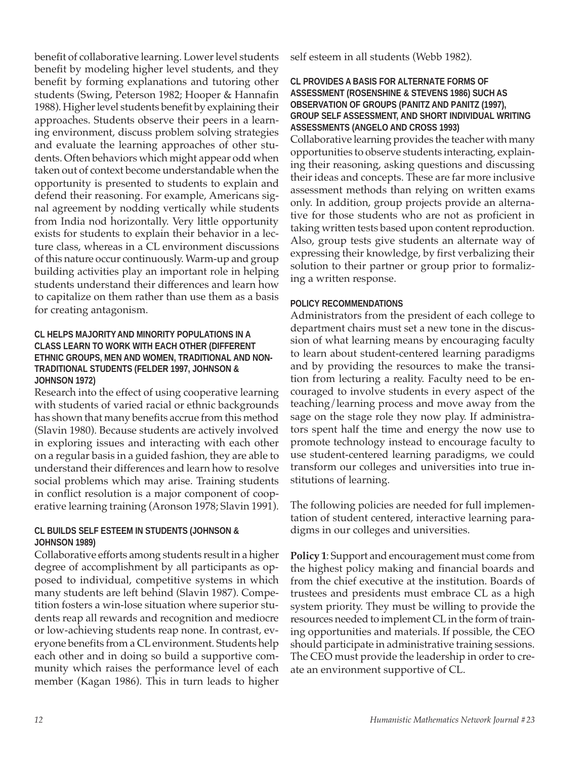benefit of collaborative learning. Lower level students benefit by modeling higher level students, and they benefit by forming explanations and tutoring other students (Swing, Peterson 1982; Hooper & Hannafin 1988). Higher level students benefit by explaining their approaches. Students observe their peers in a learning environment, discuss problem solving strategies and evaluate the learning approaches of other students. Often behaviors which might appear odd when taken out of context become understandable when the opportunity is presented to students to explain and defend their reasoning. For example, Americans signal agreement by nodding vertically while students from India nod horizontally. Very little opportunity exists for students to explain their behavior in a lecture class, whereas in a CL environment discussions of this nature occur continuously. Warm-up and group building activities play an important role in helping students understand their differences and learn how to capitalize on them rather than use them as a basis for creating antagonism.

#### **CL HELPS MAJORITY AND MINORITY POPULATIONS IN A CLASS LEARN TO WORK WITH EACH OTHER (DIFFERENT ETHNIC GROUPS, MEN AND WOMEN, TRADITIONAL AND NON-TRADITIONAL STUDENTS (FELDER 1997, JOHNSON & JOHNSON 1972)**

Research into the effect of using cooperative learning with students of varied racial or ethnic backgrounds has shown that many benefits accrue from this method (Slavin 1980). Because students are actively involved in exploring issues and interacting with each other on a regular basis in a guided fashion, they are able to understand their differences and learn how to resolve social problems which may arise. Training students in conflict resolution is a major component of cooperative learning training (Aronson 1978; Slavin 1991).

#### **CL BUILDS SELF ESTEEM IN STUDENTS (JOHNSON & JOHNSON 1989)**

Collaborative efforts among students result in a higher degree of accomplishment by all participants as opposed to individual, competitive systems in which many students are left behind (Slavin 1987). Competition fosters a win-lose situation where superior students reap all rewards and recognition and mediocre or low-achieving students reap none. In contrast, everyone benefits from a CL environment. Students help each other and in doing so build a supportive community which raises the performance level of each member (Kagan 1986). This in turn leads to higher

self esteem in all students (Webb 1982).

#### **CL PROVIDES A BASIS FOR ALTERNATE FORMS OF ASSESSMENT (ROSENSHINE & STEVENS 1986) SUCH AS OBSERVATION OF GROUPS (PANITZ AND PANITZ (1997), GROUP SELF ASSESSMENT, AND SHORT INDIVIDUAL WRITING ASSESSMENTS (ANGELO AND CROSS 1993)**

Collaborative learning provides the teacher with many opportunities to observe students interacting, explaining their reasoning, asking questions and discussing their ideas and concepts. These are far more inclusive assessment methods than relying on written exams only. In addition, group projects provide an alternative for those students who are not as proficient in taking written tests based upon content reproduction. Also, group tests give students an alternate way of expressing their knowledge, by first verbalizing their solution to their partner or group prior to formalizing a written response.

#### **POLICY RECOMMENDATIONS**

Administrators from the president of each college to department chairs must set a new tone in the discussion of what learning means by encouraging faculty to learn about student-centered learning paradigms and by providing the resources to make the transition from lecturing a reality. Faculty need to be encouraged to involve students in every aspect of the teaching/learning process and move away from the sage on the stage role they now play. If administrators spent half the time and energy the now use to promote technology instead to encourage faculty to use student-centered learning paradigms, we could transform our colleges and universities into true institutions of learning.

The following policies are needed for full implementation of student centered, interactive learning paradigms in our colleges and universities.

**Policy 1**: Support and encouragement must come from the highest policy making and financial boards and from the chief executive at the institution. Boards of trustees and presidents must embrace CL as a high system priority. They must be willing to provide the resources needed to implement CL in the form of training opportunities and materials. If possible, the CEO should participate in administrative training sessions. The CEO must provide the leadership in order to create an environment supportive of CL.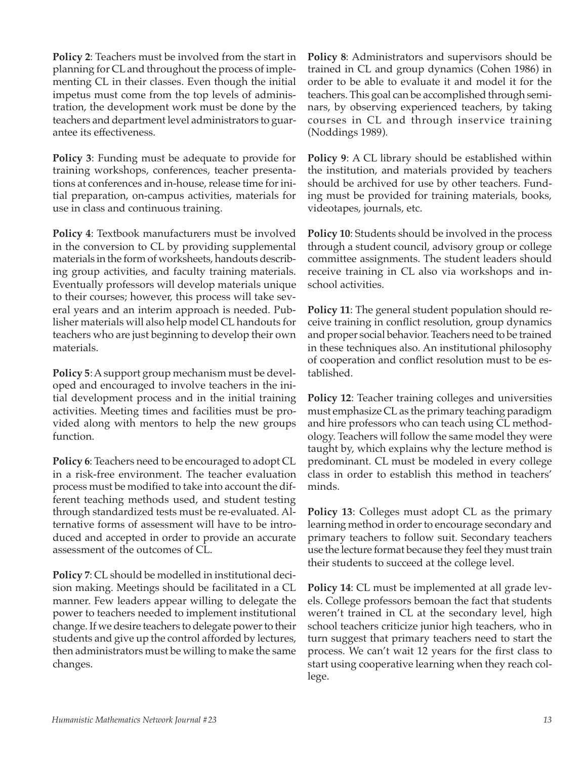**Policy 2**: Teachers must be involved from the start in planning for CL and throughout the process of implementing CL in their classes. Even though the initial impetus must come from the top levels of administration, the development work must be done by the teachers and department level administrators to guarantee its effectiveness.

**Policy 3**: Funding must be adequate to provide for training workshops, conferences, teacher presentations at conferences and in-house, release time for initial preparation, on-campus activities, materials for use in class and continuous training.

**Policy 4**: Textbook manufacturers must be involved in the conversion to CL by providing supplemental materials in the form of worksheets, handouts describing group activities, and faculty training materials. Eventually professors will develop materials unique to their courses; however, this process will take several years and an interim approach is needed. Publisher materials will also help model CL handouts for teachers who are just beginning to develop their own materials.

**Policy 5**: A support group mechanism must be developed and encouraged to involve teachers in the initial development process and in the initial training activities. Meeting times and facilities must be provided along with mentors to help the new groups function.

**Policy 6**: Teachers need to be encouraged to adopt CL in a risk-free environment. The teacher evaluation process must be modified to take into account the different teaching methods used, and student testing through standardized tests must be re-evaluated. Alternative forms of assessment will have to be introduced and accepted in order to provide an accurate assessment of the outcomes of CL.

**Policy 7**: CL should be modelled in institutional decision making. Meetings should be facilitated in a CL manner. Few leaders appear willing to delegate the power to teachers needed to implement institutional change. If we desire teachers to delegate power to their students and give up the control afforded by lectures, then administrators must be willing to make the same changes.

**Policy 8**: Administrators and supervisors should be trained in CL and group dynamics (Cohen 1986) in order to be able to evaluate it and model it for the teachers. This goal can be accomplished through seminars, by observing experienced teachers, by taking courses in CL and through inservice training (Noddings 1989).

**Policy 9**: A CL library should be established within the institution, and materials provided by teachers should be archived for use by other teachers. Funding must be provided for training materials, books, videotapes, journals, etc.

**Policy 10**: Students should be involved in the process through a student council, advisory group or college committee assignments. The student leaders should receive training in CL also via workshops and inschool activities.

**Policy 11**: The general student population should receive training in conflict resolution, group dynamics and proper social behavior. Teachers need to be trained in these techniques also. An institutional philosophy of cooperation and conflict resolution must to be established.

**Policy 12:** Teacher training colleges and universities must emphasize CL as the primary teaching paradigm and hire professors who can teach using CL methodology. Teachers will follow the same model they were taught by, which explains why the lecture method is predominant. CL must be modeled in every college class in order to establish this method in teachers' minds.

**Policy 13**: Colleges must adopt CL as the primary learning method in order to encourage secondary and primary teachers to follow suit. Secondary teachers use the lecture format because they feel they must train their students to succeed at the college level.

**Policy 14**: CL must be implemented at all grade levels. College professors bemoan the fact that students weren't trained in CL at the secondary level, high school teachers criticize junior high teachers, who in turn suggest that primary teachers need to start the process. We can't wait 12 years for the first class to start using cooperative learning when they reach college.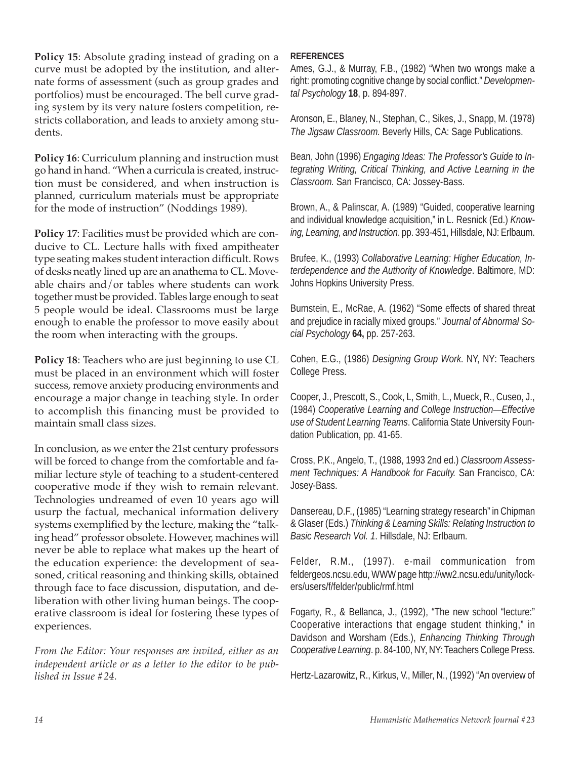**Policy 15**: Absolute grading instead of grading on a curve must be adopted by the institution, and alternate forms of assessment (such as group grades and portfolios) must be encouraged. The bell curve grading system by its very nature fosters competition, restricts collaboration, and leads to anxiety among students.

**Policy 16**: Curriculum planning and instruction must go hand in hand. "When a curricula is created, instruction must be considered, and when instruction is planned, curriculum materials must be appropriate for the mode of instruction" (Noddings 1989).

**Policy 17**: Facilities must be provided which are conducive to CL. Lecture halls with fixed ampitheater type seating makes student interaction difficult. Rows of desks neatly lined up are an anathema to CL. Moveable chairs and/or tables where students can work together must be provided. Tables large enough to seat 5 people would be ideal. Classrooms must be large enough to enable the professor to move easily about the room when interacting with the groups.

**Policy 18**: Teachers who are just beginning to use CL must be placed in an environment which will foster success, remove anxiety producing environments and encourage a major change in teaching style. In order to accomplish this financing must be provided to maintain small class sizes.

In conclusion, as we enter the 21st century professors will be forced to change from the comfortable and familiar lecture style of teaching to a student-centered cooperative mode if they wish to remain relevant. Technologies undreamed of even 10 years ago will usurp the factual, mechanical information delivery systems exemplified by the lecture, making the "talking head" professor obsolete. However, machines will never be able to replace what makes up the heart of the education experience: the development of seasoned, critical reasoning and thinking skills, obtained through face to face discussion, disputation, and deliberation with other living human beings. The cooperative classroom is ideal for fostering these types of experiences.

*From the Editor: Your responses are invited, either as an independent article or as a letter to the editor to be published in Issue #24.*

#### **REFERENCES**

Ames, G.J., & Murray, F.B., (1982) "When two wrongs make a right: promoting cognitive change by social conflict." *Developmental Psychology* **18**, p. 894-897.

Aronson, E., Blaney, N., Stephan, C., Sikes, J., Snapp, M. (1978) *The Jigsaw Classroom.* Beverly Hills, CA: Sage Publications.

Bean, John (1996) *Engaging Ideas: The Professor's Guide to Integrating Writing, Critical Thinking, and Active Learning in the Classroom.* San Francisco, CA: Jossey-Bass.

Brown, A., & Palinscar, A. (1989) "Guided, cooperative learning and individual knowledge acquisition," in L. Resnick (Ed.) *Knowing, Learning, and Instruction*. pp. 393-451, Hillsdale, NJ: Erlbaum.

Brufee, K., (1993) *Collaborative Learning: Higher Education, Interdependence and the Authority of Knowledge*. Baltimore, MD: Johns Hopkins University Press.

Burnstein, E., McRae, A. (1962) "Some effects of shared threat and prejudice in racially mixed groups." *Journal of Abnormal Social Psychology* **64,** pp. 257-263.

Cohen, E.G., (1986) *Designing Group Work*. NY, NY: Teachers College Press.

Cooper, J., Prescott, S., Cook, L, Smith, L., Mueck, R., Cuseo, J., (1984) *Cooperative Learning and College Instruction—Effective use of Student Learning Teams*. California State University Foundation Publication, pp. 41-65.

Cross, P.K., Angelo, T., (1988, 1993 2nd ed.) *Classroom Assessment Techniques: A Handbook for Faculty.* San Francisco, CA: Josey-Bass.

Dansereau, D.F., (1985) "Learning strategy research" in Chipman & Glaser (Eds.) *Thinking & Learning Skills: Relating Instruction to Basic Research Vol. 1*. Hillsdale, NJ: Erlbaum.

Felder, R.M., (1997). e-mail communication from feldergeos.ncsu.edu, WWW page http://ww2.ncsu.edu/unity/lockers/users/f/felder/public/rmf.htmI

Fogarty, R., & Bellanca, J., (1992), "The new school "lecture:" Cooperative interactions that engage student thinking," in Davidson and Worsham (Eds.), *Enhancing Thinking Through Cooperative Learning*. p. 84-100, NY, NY: Teachers College Press.

Hertz-Lazarowitz, R., Kirkus, V., Miller, N., (1992) "An overview of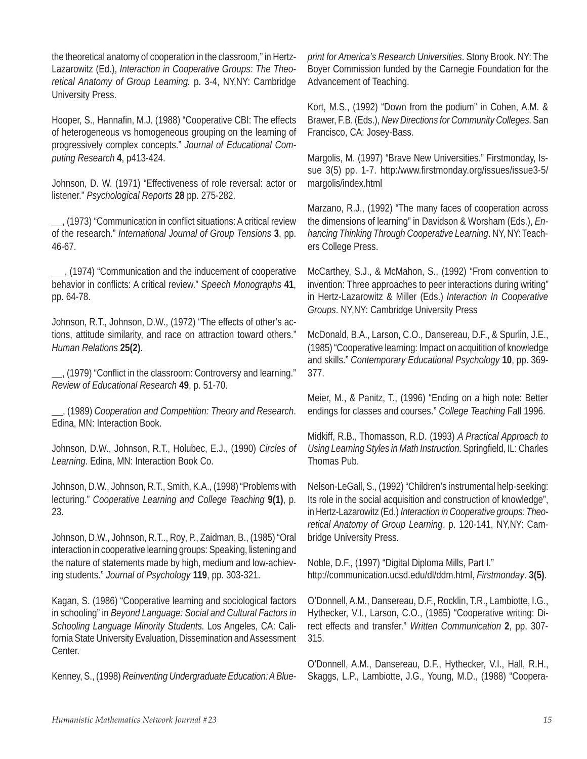the theoretical anatomy of cooperation in the classroom," in Hertz-Lazarowitz (Ed.), *Interaction in Cooperative Groups: The Theoretical Anatomy of Group Learning.* p. 3-4, NY,NY: Cambridge University Press.

Hooper, S., Hannafin, M.J. (1988) "Cooperative CBI: The effects of heterogeneous vs homogeneous grouping on the learning of progressively complex concepts." *Journal of Educational Computing Research* **4**, p413-424.

Johnson, D. W. (1971) "Effectiveness of role reversal: actor or listener." *Psychological Reports* **28** pp. 275-282.

, (1973) "Communication in conflict situations: A critical review of the research." *International Journal of Group Tensions* **3**, pp. 46-67.

, (1974) "Communication and the inducement of cooperative behavior in conflicts: A critical review." *Speech Monographs* **41**, pp. 64-78.

Johnson, R.T., Johnson, D.W., (1972) "The effects of other's actions, attitude similarity, and race on attraction toward others." *Human Relations* **25(2)**.

, (1979) "Conflict in the classroom: Controversy and learning." *Review of Educational Research* **49**, p. 51-70.

, (1989) *Cooperation and Competition: Theory and Research*. Edina, MN: Interaction Book.

Johnson, D.W., Johnson, R.T., Holubec, E.J., (1990) *Circles of Learning*. Edina, MN: Interaction Book Co.

Johnson, D.W., Johnson, R.T., Smith, K.A., (1998) "Problems with lecturing." *Cooperative Learning and College Teaching* **9(1)**, p. 23.

Johnson, D.W., Johnson, R.T.., Roy, P., Zaidman, B., (1985) "Oral interaction in cooperative learning groups: Speaking, listening and the nature of statements made by high, medium and low-achieving students." *Journal of Psychology* **119**, pp. 303-321.

Kagan, S. (1986) "Cooperative learning and sociological factors in schooling" in *Beyond Language: Social and Cultural Factors in Schooling Language Minority Students*. Los Angeles, CA: California State University Evaluation, Dissemination and Assessment Center.

Kenney, S., (1998) *Reinventing Undergraduate Education: A Blue-*

*print for America's Research Universities*. Stony Brook. NY: The Boyer Commission funded by the Carnegie Foundation for the Advancement of Teaching.

Kort, M.S., (1992) "Down from the podium" in Cohen, A.M. & Brawer, F.B. (Eds.), *New Directions for Community Colleges*. San Francisco, CA: Josey-Bass.

Margolis, M. (1997) "Brave New Universities." Firstmonday, Issue 3(5) pp. 1-7. http:/www.firstmonday.org/issues/issue3-5/ margolis/index.html

Marzano, R.J., (1992) "The many faces of cooperation across the dimensions of learning" in Davidson & Worsham (Eds.), *Enhancing Thinking Through Cooperative Learning*. NY, NY: Teachers College Press.

McCarthey, S.J., & McMahon, S., (1992) "From convention to invention: Three approaches to peer interactions during writing" in Hertz-Lazarowitz & Miller (Eds.) *Interaction In Cooperative Groups*. NY,NY: Cambridge University Press

McDonald, B.A., Larson, C.O., Dansereau, D.F., & Spurlin, J.E., (1985) "Cooperative learning: Impact on acquitition of knowledge and skills." *Contemporary Educational Psychology* **10**, pp. 369- 377.

Meier, M., & Panitz, T., (1996) "Ending on a high note: Better endings for classes and courses." *College Teaching* Fall 1996.

Midkiff, R.B., Thomasson, R.D. (1993) *A Practical Approach to Using Learning Styles in Math Instruction*. Springfield, IL: Charles Thomas Pub.

Nelson-LeGall, S., (1992) "Children's instrumental help-seeking: Its role in the social acquisition and construction of knowledge", in Hertz-Lazarowitz (Ed.) *Interaction in Cooperative groups: Theoretical Anatomy of Group Learning*. p. 120-141, NY,NY: Cambridge University Press.

Noble, D.F., (1997) "Digital Diploma Mills, Part I." http://communication.ucsd.edu/dl/ddm.htmI, *Firstmonday*. **3(5)**.

O'Donnell, A.M., Dansereau, D.F., Rocklin, T.R., Lambiotte, I.G., Hythecker, V.I., Larson, C.O., (1985) "Cooperative writing: Direct effects and transfer." *Written Communication* **2**, pp. 307- 315.

O'Donnell, A.M., Dansereau, D.F., Hythecker, V.I., Hall, R.H., Skaggs, L.P., Lambiotte, J.G., Young, M.D., (1988) "Coopera